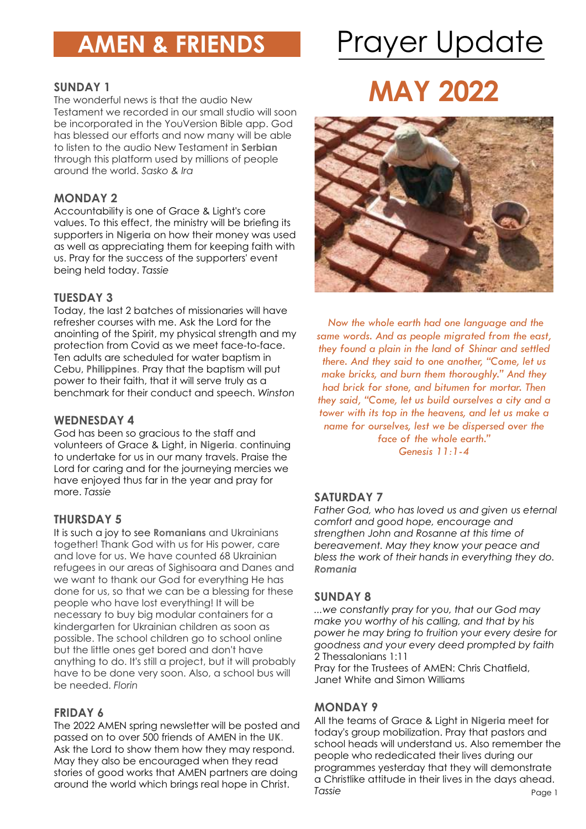# **AMEN & FRIENDS** Prayer Update

### **SUNDAY 1**

The wonderful news is that the audio New Testament we recorded in our small studio will soon be incorporated in the YouVersion Bible app. God has blessed our efforts and now many will be able to listen to the audio New Testament in **Serbian** through this platform used by millions of people around the world. *Sasko & Ira*

### **MONDAY 2**

Accountability is one of Grace & Light's core values. To this effect, the ministry will be briefing its supporters in **Nigeria** on how their money was used as well as appreciating them for keeping faith with us. Pray for the success of the supporters' event being held today. *Tassie*

### **TUESDAY 3**

Today, the last 2 batches of missionaries will have refresher courses with me. Ask the Lord for the anointing of the Spirit, my physical strength and my protection from Covid as we meet face-to-face. Ten adults are scheduled for water baptism in Cebu, **Philippines**. Pray that the baptism will put power to their faith, that it will serve truly as a benchmark for their conduct and speech. *Winston*

### **WEDNESDAY 4**

God has been so gracious to the staff and volunteers of Grace & Light, in **Nigeria**. continuing to undertake for us in our many travels. Praise the Lord for caring and for the journeying mercies we have enjoyed thus far in the year and pray for more. *Tassie*

### **THURSDAY 5**

It is such a joy to see **Romanians** and Ukrainians together! Thank God with us for His power, care and love for us. We have counted 68 Ukrainian refugees in our areas of Sighisoara and Danes and we want to thank our God for everything He has done for us, so that we can be a blessing for these people who have lost everything! It will be necessary to buy big modular containers for a kindergarten for Ukrainian children as soon as possible. The school children go to school online but the little ones get bored and don't have anything to do. It's still a project, but it will probably have to be done very soon. Also, a school bus will be needed. *Florin*

### **FRIDAY 6**

The 2022 AMEN spring newsletter will be posted and passed on to over 500 friends of AMEN in the **UK**. Ask the Lord to show them how they may respond. May they also be encouraged when they read stories of good works that AMEN partners are doing around the world which brings real hope in Christ.

### **MAY 2022**



 *Now the whole earth had one language and the same words. And as people migrated from the east, they found a plain in the land of Shinar and settled there. And they said to one another, "Come, let us make bricks, and burn them thoroughly." And they had brick for stone, and bitumen for mortar. Then they said, "Come, let us build ourselves a city and a tower with its top in the heavens, and let us make a name for ourselves, lest we be dispersed over the face of the whole earth." Genesis 11:1-4*

### **SATURDAY 7**

*Father God, who has loved us and given us eternal comfort and good hope, encourage and strengthen John and Rosanne at this time of bereavement. May they know your peace and bless the work of their hands in everything they do. Romania*

### **SUNDAY 8**

*...we constantly pray for you, that our God may make you worthy of his calling, and that by his power he may bring to fruition your every desire for goodness and your every deed prompted by faith*  2 Thessalonians 1:11

Pray for the Trustees of AMEN: Chris Chatfield, Janet White and Simon Williams

### **MONDAY 9**

Page 1 All the teams of Grace & Light in **Nigeria** meet for today's group mobilization. Pray that pastors and school heads will understand us. Also remember the people who rededicated their lives during our programmes yesterday that they will demonstrate a Christlike attitude in their lives in the days ahead. *Tassie*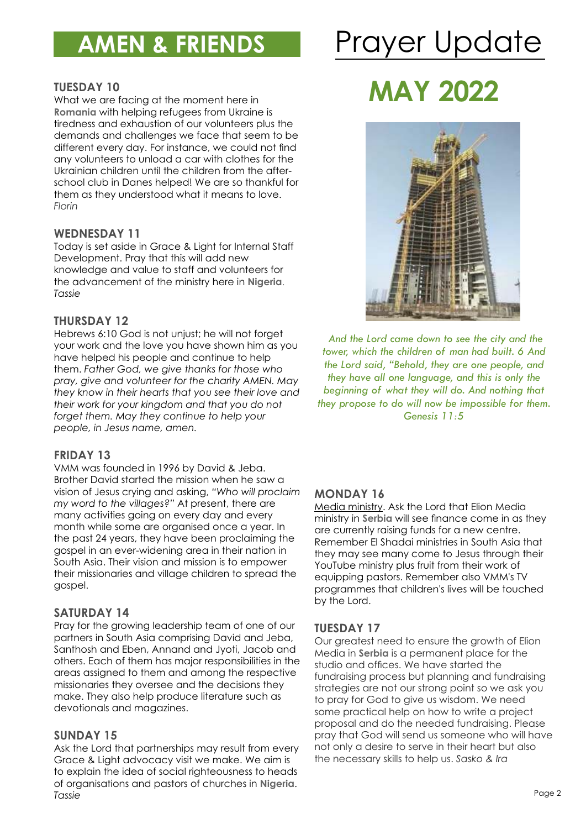### **AMEN & FRIENDS**

# Prayer Update

### **TUESDAY 10**

What we are facing at the moment here in **Romania** with helping refugees from Ukraine is tiredness and exhaustion of our volunteers plus the demands and challenges we face that seem to be different every day. For instance, we could not find any volunteers to unload a car with clothes for the Ukrainian children until the children from the afterschool club in Danes helped! We are so thankful for them as they understood what it means to love. *Florin*

### **WEDNESDAY 11**

Today is set aside in Grace & Light for Internal Staff Development. Pray that this will add new knowledge and value to staff and volunteers for the advancement of the ministry here in **Nigeria**. *Tassie*

### **THURSDAY 12**

Hebrews 6:10 God is not unjust; he will not forget your work and the love you have shown him as you have helped his people and continue to help them. *Father God, we give thanks for those who pray, give and volunteer for the charity AMEN. May they know in their hearts that you see their love and their work for your kingdom and that you do not forget them. May they continue to help your people, in Jesus name, amen.*

### **FRIDAY 13**

VMM was founded in 1996 by David & Jeba. Brother David started the mission when he saw a vision of Jesus crying and asking, *"Who will proclaim my word to the villages?"* At present, there are many activities going on every day and every month while some are organised once a year. In the past 24 years, they have been proclaiming the gospel in an ever-widening area in their nation in South Asia. Their vision and mission is to empower their missionaries and village children to spread the gospel.

### **SATURDAY 14**

Pray for the growing leadership team of one of our partners in South Asia comprising David and Jeba, Santhosh and Eben, Annand and Jyoti, Jacob and others. Each of them has major responsibilities in the areas assigned to them and among the respective missionaries they oversee and the decisions they make. They also help produce literature such as devotionals and magazines.

### **SUNDAY 15**

Ask the Lord that partnerships may result from every Grace & Light advocacy visit we make. We aim is to explain the idea of social righteousness to heads of organisations and pastors of churches in **Nigeria**. *Tassie*

## **MAY 2022**



 *And the Lord came down to see the city and the tower, which the children of man had built. 6 And the Lord said, "Behold, they are one people, and they have all one language, and this is only the beginning of what they will do. And nothing that they propose to do will now be impossible for them. Genesis 11:5*

### **MONDAY 16**

Media ministry. Ask the Lord that Elion Media ministry in **Serbia** will see finance come in as they are currently raising funds for a new centre. Remember El Shadai ministries in South Asia that they may see many come to Jesus through their YouTube ministry plus fruit from their work of equipping pastors. Remember also VMM's TV programmes that children's lives will be touched by the Lord.

### **TUESDAY 17**

Our greatest need to ensure the growth of Elion Media in **Serbia** is a permanent place for the studio and offices. We have started the fundraising process but planning and fundraising strategies are not our strong point so we ask you to pray for God to give us wisdom. We need some practical help on how to write a project proposal and do the needed fundraising. Please pray that God will send us someone who will have not only a desire to serve in their heart but also the necessary skills to help us. *Sasko & Ira*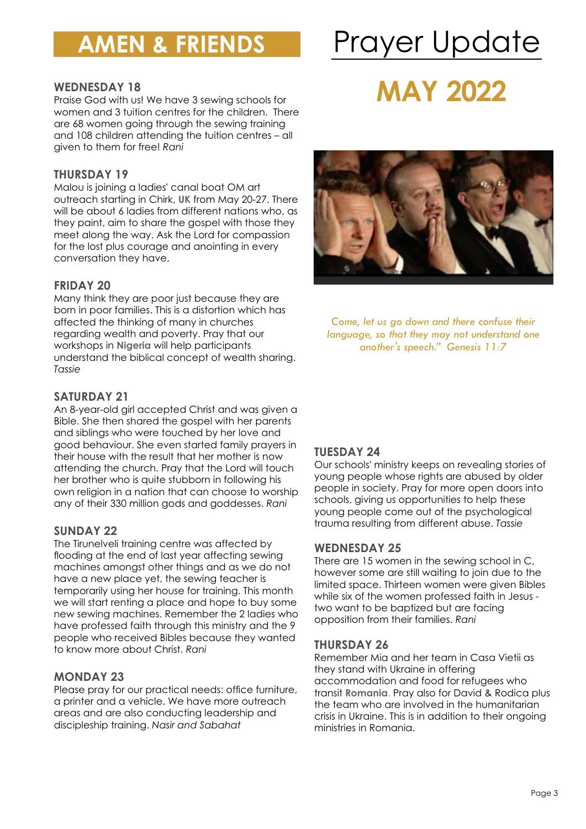### **AMEN & FRIENDS**

# Prayer Update

### **WEDNESDAY 18**

Praise God with us! We have 3 sewing schools for women and 3 tuition centres for the children. There are 68 women going through the sewing training and 108 children attending the tuition centres – all given to them for free! *Rani*

### **THURSDAY 19**

Malou is joining a ladies' canal boat OM art outreach starting in Chirk, **UK** from May 20-27. There will be about 6 ladies from different nations who, as they paint, aim to share the gospel with those they meet along the way. Ask the Lord for compassion for the lost plus courage and anointing in every conversation they have.

### **FRIDAY 20**

Many think they are poor just because they are born in poor families. This is a distortion which has affected the thinking of many in churches regarding wealth and poverty. Pray that our workshops in **Nigeria** will help participants understand the biblical concept of wealth sharing. *Tassie*

### **SATURDAY 21**

An 8-year-old girl accepted Christ and was given a Bible. She then shared the gospel with her parents and siblings who were touched by her love and good behaviour. She even started family prayers in their house with the result that her mother is now attending the church. Pray that the Lord will touch her brother who is quite stubborn in following his own religion in a nation that can choose to worship any of their 330 million gods and goddesses. *Rani*

### **SUNDAY 22**

The Tirunelveli training centre was affected by flooding at the end of last year affecting sewing machines amongst other things and as we do not have a new place yet, the sewing teacher is temporarily using her house for training. This month we will start renting a place and hope to buy some new sewing machines. Remember the 2 ladies who have professed faith through this ministry and the 9 people who received Bibles because they wanted to know more about Christ. *Rani*

### **MONDAY 23**

Please pray for our practical needs: office furniture, a printer and a vehicle. We have more outreach areas and are also conducting leadership and discipleship training. *Nasir and Sabahat*

### **MAY 2022**



*Come, let us go down and there confuse their language, so that they may not understand one another's speech." Genesis 11:7* 

### **TUESDAY 24**

Our schools' ministry keeps on revealing stories of young people whose rights are abused by older people in society. Pray for more open doors into schools, giving us opportunities to help these young people come out of the psychological trauma resulting from different abuse. *Tassie*

#### **WEDNESDAY 25**

There are 15 women in the sewing school in C, however some are still waiting to join due to the limited space. Thirteen women were given Bibles while six of the women professed faith in Jesus two want to be baptized but are facing opposition from their families. *Rani*

#### **THURSDAY 26**

Remember Mia and her team in Casa Vietii as they stand with Ukraine in offering accommodation and food for refugees who transit **Romania**. Pray also for David & Rodica plus the team who are involved in the humanitarian crisis in Ukraine. This is in addition to their ongoing ministries in Romania.